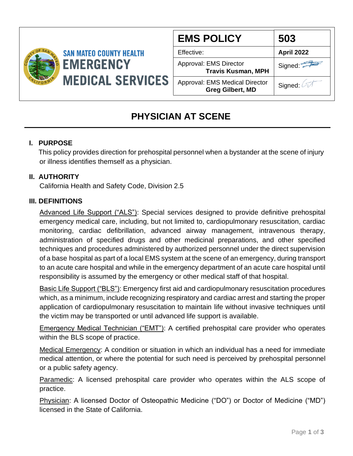

| <b>EMS POLICY</b>                                                | 503               |  |
|------------------------------------------------------------------|-------------------|--|
| Effective:                                                       | <b>April 2022</b> |  |
| Approval: EMS Director<br><b>Travis Kusman, MPH</b>              | Signed:           |  |
| <b>Approval: EMS Medical Director</b><br><b>Greg Gilbert, MD</b> | Signed: 4         |  |

## **PHYSICIAN AT SCENE**

#### **I. PURPOSE**

 This policy provides direction for prehospital personnel when a bystander at the scene of injury or illness identifies themself as a physician.

#### **II. AUTHORITY**

California Health and Safety Code, Division 2.5

#### **III. DEFINITIONS**

Advanced Life Support ("ALS"): Special services designed to provide definitive prehospital emergency medical care, including, but not limited to, cardiopulmonary resuscitation, cardiac monitoring, cardiac defibrillation, advanced airway management, intravenous therapy, administration of specified drugs and other medicinal preparations, and other specified techniques and procedures administered by authorized personnel under the direct supervision of a base hospital as part of a local EMS system at the scene of an emergency, during transport to an acute care hospital and while in the emergency department of an acute care hospital until responsibility is assumed by the emergency or other medical staff of that hospital.

Basic Life Support ("BLS"): Emergency first aid and cardiopulmonary resuscitation procedures which, as a minimum, include recognizing respiratory and cardiac arrest and starting the proper application of cardiopulmonary resuscitation to maintain life without invasive techniques until the victim may be transported or until advanced life support is available.

Emergency Medical Technician ("EMT"): A certified prehospital care provider who operates within the BLS scope of practice.

Medical Emergency: A condition or situation in which an individual has a need for immediate medical attention, or where the potential for such need is perceived by prehospital personnel or a public safety agency.

Paramedic: A licensed prehospital care provider who operates within the ALS scope of practice.

Physician: A licensed Doctor of Osteopathic Medicine ("DO") or Doctor of Medicine ("MD") licensed in the State of California.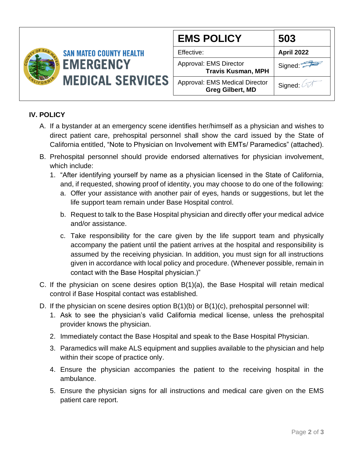

#### **IV. POLICY**

- A. If a bystander at an emergency scene identifies her/himself as a physician and wishes to direct patient care, prehospital personnel shall show the card issued by the State of California entitled, "Note to Physician on Involvement with EMTs/ Paramedics" (attached).
- B. Prehospital personnel should provide endorsed alternatives for physician involvement, which include:
	- 1. "After identifying yourself by name as a physician licensed in the State of California, and, if requested, showing proof of identity, you may choose to do one of the following:
		- a. Offer your assistance with another pair of eyes, hands or suggestions, but let the life support team remain under Base Hospital control.
		- b. Request to talk to the Base Hospital physician and directly offer your medical advice and/or assistance.
		- c. Take responsibility for the care given by the life support team and physically accompany the patient until the patient arrives at the hospital and responsibility is assumed by the receiving physician. In addition, you must sign for all instructions given in accordance with local policy and procedure. (Whenever possible, remain in contact with the Base Hospital physician.)"
- C. If the physician on scene desires option B(1)(a), the Base Hospital will retain medical control if Base Hospital contact was established.
- D. If the physician on scene desires option B(1)(b) or B(1)(c), prehospital personnel will:
	- 1. Ask to see the physician's valid California medical license, unless the prehospital provider knows the physician.
	- 2. Immediately contact the Base Hospital and speak to the Base Hospital Physician.
	- 3. Paramedics will make ALS equipment and supplies available to the physician and help within their scope of practice only.
	- 4. Ensure the physician accompanies the patient to the receiving hospital in the ambulance.
	- 5. Ensure the physician signs for all instructions and medical care given on the EMS patient care report.